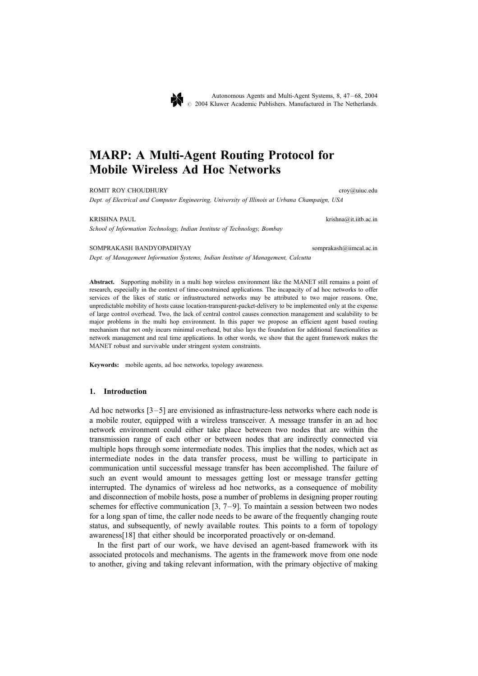Autonomous Agents and Multi-Agent Systems, 8, 47 – 68, 2004 **2004 Kluwer Academic Publishers. Manufactured in The Netherlands.** 

# MARP: A Multi-Agent Routing Protocol for Mobile Wireless Ad Hoc Networks

ROMIT ROY CHOUDHURY **compared and compared and compared and compared and compared and compared and compared and compared and compared and compared and compared and compared and compared and compared and compared and compar** 

Dept. of Electrical and Computer Engineering, University of Illinois at Urbana Champaign, USA

KRISHNA PAUL krishna@it.iitb.ac.in

School of Information Technology, Indian Institute of Technology, Bombay

#### SOMPRAKASH BANDYOPADHYAY somprakash@iimcal.ac.in

Dept. of Management Information Systems, Indian Institute of Management, Calcutta

Abstract. Supporting mobility in a multi hop wireless environment like the MANET still remains a point of research, especially in the context of time-constrained applications. The incapacity of ad hoc networks to offer services of the likes of static or infrastructured networks may be attributed to two major reasons. One, unpredictable mobility of hosts cause location-transparent-packet-delivery to be implemented only at the expense of large control overhead. Two, the lack of central control causes connection management and scalability to be major problems in the multi hop environment. In this paper we propose an efficient agent based routing mechanism that not only incurs minimal overhead, but also lays the foundation for additional functionalities as network management and real time applications. In other words, we show that the agent framework makes the MANET robust and survivable under stringent system constraints.

Keywords: mobile agents, ad hoc networks, topology awareness.

# 1. Introduction

Ad hoc networks  $[3-5]$  are envisioned as infrastructure-less networks where each node is a mobile router, equipped with a wireless transceiver. A message transfer in an ad hoc network environment could either take place between two nodes that are within the transmission range of each other or between nodes that are indirectly connected via multiple hops through some intermediate nodes. This implies that the nodes, which act as intermediate nodes in the data transfer process, must be willing to participate in communication until successful message transfer has been accomplished. The failure of such an event would amount to messages getting lost or message transfer getting interrupted. The dynamics of wireless ad hoc networks, as a consequence of mobility and disconnection of mobile hosts, pose a number of problems in designing proper routing schemes for effective communication  $[3, 7-9]$ . To maintain a session between two nodes for a long span of time, the caller node needs to be aware of the frequently changing route status, and subsequently, of newly available routes. This points to a form of topology awareness[18] that either should be incorporated proactively or on-demand.

In the first part of our work, we have devised an agent-based framework with its associated protocols and mechanisms. The agents in the framework move from one node to another, giving and taking relevant information, with the primary objective of making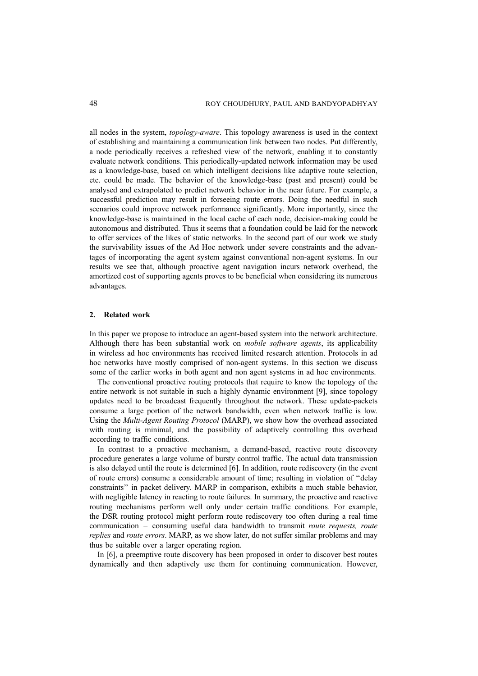all nodes in the system, topology-aware. This topology awareness is used in the context of establishing and maintaining a communication link between two nodes. Put differently, a node periodically receives a refreshed view of the network, enabling it to constantly evaluate network conditions. This periodically-updated network information may be used as a knowledge-base, based on which intelligent decisions like adaptive route selection, etc. could be made. The behavior of the knowledge-base (past and present) could be analysed and extrapolated to predict network behavior in the near future. For example, a successful prediction may result in forseeing route errors. Doing the needful in such scenarios could improve network performance significantly. More importantly, since the knowledge-base is maintained in the local cache of each node, decision-making could be autonomous and distributed. Thus it seems that a foundation could be laid for the network to offer services of the likes of static networks. In the second part of our work we study the survivability issues of the Ad Hoc network under severe constraints and the advantages of incorporating the agent system against conventional non-agent systems. In our results we see that, although proactive agent navigation incurs network overhead, the amortized cost of supporting agents proves to be beneficial when considering its numerous advantages.

# 2. Related work

In this paper we propose to introduce an agent-based system into the network architecture. Although there has been substantial work on mobile software agents, its applicability in wireless ad hoc environments has received limited research attention. Protocols in ad hoc networks have mostly comprised of non-agent systems. In this section we discuss some of the earlier works in both agent and non agent systems in ad hoc environments.

The conventional proactive routing protocols that require to know the topology of the entire network is not suitable in such a highly dynamic environment [9], since topology updates need to be broadcast frequently throughout the network. These update-packets consume a large portion of the network bandwidth, even when network traffic is low. Using the Multi-Agent Routing Protocol (MARP), we show how the overhead associated with routing is minimal, and the possibility of adaptively controlling this overhead according to traffic conditions.

In contrast to a proactive mechanism, a demand-based, reactive route discovery procedure generates a large volume of bursty control traffic. The actual data transmission is also delayed until the route is determined [6]. In addition, route rediscovery (in the event of route errors) consume a considerable amount of time; resulting in violation of ''delay constraints'' in packet delivery. MARP in comparison, exhibits a much stable behavior, with negligible latency in reacting to route failures. In summary, the proactive and reactive routing mechanisms perform well only under certain traffic conditions. For example, the DSR routing protocol might perform route rediscovery too often during a real time communication – consuming useful data bandwidth to transmit route requests, route replies and route errors. MARP, as we show later, do not suffer similar problems and may thus be suitable over a larger operating region.

In [6], a preemptive route discovery has been proposed in order to discover best routes dynamically and then adaptively use them for continuing communication. However,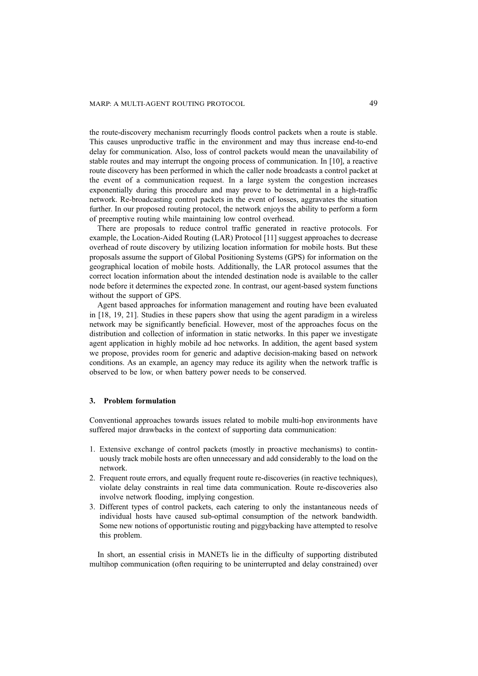the route-discovery mechanism recurringly floods control packets when a route is stable. This causes unproductive traffic in the environment and may thus increase end-to-end delay for communication. Also, loss of control packets would mean the unavailability of stable routes and may interrupt the ongoing process of communication. In [10], a reactive route discovery has been performed in which the caller node broadcasts a control packet at the event of a communication request. In a large system the congestion increases exponentially during this procedure and may prove to be detrimental in a high-traffic network. Re-broadcasting control packets in the event of losses, aggravates the situation further. In our proposed routing protocol, the network enjoys the ability to perform a form of preemptive routing while maintaining low control overhead.

There are proposals to reduce control traffic generated in reactive protocols. For example, the Location-Aided Routing (LAR) Protocol [11] suggest approaches to decrease overhead of route discovery by utilizing location information for mobile hosts. But these proposals assume the support of Global Positioning Systems (GPS) for information on the geographical location of mobile hosts. Additionally, the LAR protocol assumes that the correct location information about the intended destination node is available to the caller node before it determines the expected zone. In contrast, our agent-based system functions without the support of GPS.

Agent based approaches for information management and routing have been evaluated in [18, 19, 21]. Studies in these papers show that using the agent paradigm in a wireless network may be significantly beneficial. However, most of the approaches focus on the distribution and collection of information in static networks. In this paper we investigate agent application in highly mobile ad hoc networks. In addition, the agent based system we propose, provides room for generic and adaptive decision-making based on network conditions. As an example, an agency may reduce its agility when the network traffic is observed to be low, or when battery power needs to be conserved.

# 3. Problem formulation

Conventional approaches towards issues related to mobile multi-hop environments have suffered major drawbacks in the context of supporting data communication:

- 1. Extensive exchange of control packets (mostly in proactive mechanisms) to continuously track mobile hosts are often unnecessary and add considerably to the load on the network.
- 2. Frequent route errors, and equally frequent route re-discoveries (in reactive techniques), violate delay constraints in real time data communication. Route re-discoveries also involve network flooding, implying congestion.
- 3. Different types of control packets, each catering to only the instantaneous needs of individual hosts have caused sub-optimal consumption of the network bandwidth. Some new notions of opportunistic routing and piggybacking have attempted to resolve this problem.

In short, an essential crisis in MANETs lie in the difficulty of supporting distributed multihop communication (often requiring to be uninterrupted and delay constrained) over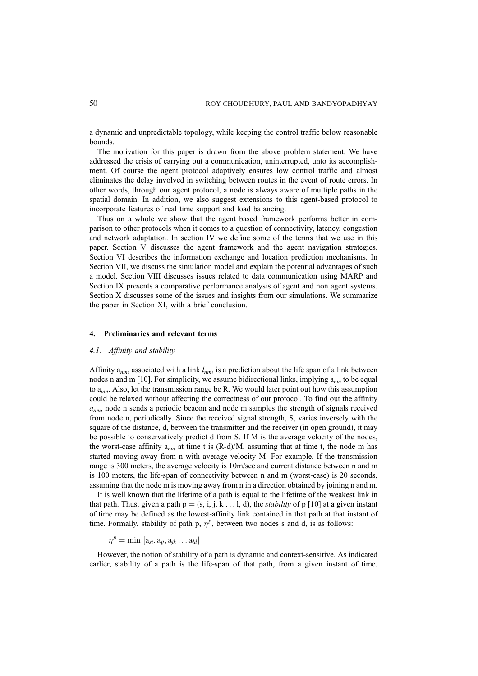a dynamic and unpredictable topology, while keeping the control traffic below reasonable bounds.

The motivation for this paper is drawn from the above problem statement. We have addressed the crisis of carrying out a communication, uninterrupted, unto its accomplishment. Of course the agent protocol adaptively ensures low control traffic and almost eliminates the delay involved in switching between routes in the event of route errors. In other words, through our agent protocol, a node is always aware of multiple paths in the spatial domain. In addition, we also suggest extensions to this agent-based protocol to incorporate features of real time support and load balancing.

Thus on a whole we show that the agent based framework performs better in comparison to other protocols when it comes to a question of connectivity, latency, congestion and network adaptation. In section IV we define some of the terms that we use in this paper. Section V discusses the agent framework and the agent navigation strategies. Section VI describes the information exchange and location prediction mechanisms. In Section VII, we discuss the simulation model and explain the potential advantages of such a model. Section VIII discusses issues related to data communication using MARP and Section IX presents a comparative performance analysis of agent and non agent systems. Section X discusses some of the issues and insights from our simulations. We summarize the paper in Section XI, with a brief conclusion.

# 4. Preliminaries and relevant terms

#### 4.1. Affinity and stability

Affinity  $a_{nm}$ , associated with a link  $l_{nm}$ , is a prediction about the life span of a link between nodes n and m [10]. For simplicity, we assume bidirectional links, implying  $a_{nm}$  to be equal to  $a_{mn}$ . Also, let the transmission range be R. We would later point out how this assumption could be relaxed without affecting the correctness of our protocol. To find out the affinity  $a_{nm}$ , node n sends a periodic beacon and node m samples the strength of signals received from node n, periodically. Since the received signal strength, S, varies inversely with the square of the distance, d, between the transmitter and the receiver (in open ground), it may be possible to conservatively predict d from S. If M is the average velocity of the nodes, the worst-case affinity  $a_{nm}$  at time t is  $(R-d)/M$ , assuming that at time t, the node m has started moving away from n with average velocity M. For example, If the transmission range is 300 meters, the average velocity is 10m/sec and current distance between n and m is 100 meters, the life-span of connectivity between n and m (worst-case) is 20 seconds, assuming that the node m is moving away from n in a direction obtained by joining n and m.

It is well known that the lifetime of a path is equal to the lifetime of the weakest link in that path. Thus, given a path  $p = (s, i, j, k \dots l, d)$ , the *stability* of p [10] at a given instant of time may be defined as the lowest-affinity link contained in that path at that instant of time. Formally, stability of path p,  $\eta^p$ , between two nodes s and d, is as follows:

 $\eta^p = \min \left[ a_{si}, a_{ii}, a_{ik} \dots a_{ld} \right]$ 

However, the notion of stability of a path is dynamic and context-sensitive. As indicated earlier, stability of a path is the life-span of that path, from a given instant of time.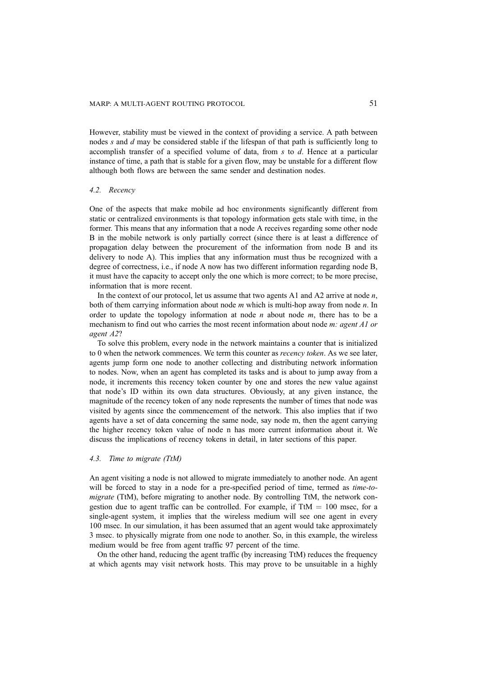However, stability must be viewed in the context of providing a service. A path between nodes s and d may be considered stable if the lifespan of that path is sufficiently long to accomplish transfer of a specified volume of data, from s to d. Hence at a particular instance of time, a path that is stable for a given flow, may be unstable for a different flow although both flows are between the same sender and destination nodes.

# 4.2. Recency

One of the aspects that make mobile ad hoc environments significantly different from static or centralized environments is that topology information gets stale with time, in the former. This means that any information that a node A receives regarding some other node B in the mobile network is only partially correct (since there is at least a difference of propagation delay between the procurement of the information from node B and its delivery to node A). This implies that any information must thus be recognized with a degree of correctness, i.e., if node A now has two different information regarding node B, it must have the capacity to accept only the one which is more correct; to be more precise, information that is more recent.

In the context of our protocol, let us assume that two agents A1 and A2 arrive at node  $n$ . both of them carrying information about node  $m$  which is multi-hop away from node  $n$ . In order to update the topology information at node  $n$  about node  $m$ , there has to be a mechanism to find out who carries the most recent information about node m: agent A1 or agent A2?

To solve this problem, every node in the network maintains a counter that is initialized to 0 when the network commences. We term this counter as *recency token*. As we see later, agents jump form one node to another collecting and distributing network information to nodes. Now, when an agent has completed its tasks and is about to jump away from a node, it increments this recency token counter by one and stores the new value against that node's ID within its own data structures. Obviously, at any given instance, the magnitude of the recency token of any node represents the number of times that node was visited by agents since the commencement of the network. This also implies that if two agents have a set of data concerning the same node, say node m, then the agent carrying the higher recency token value of node n has more current information about it. We discuss the implications of recency tokens in detail, in later sections of this paper.

#### 4.3. Time to migrate (TtM)

An agent visiting a node is not allowed to migrate immediately to another node. An agent will be forced to stay in a node for a pre-specified period of time, termed as *time-to*migrate (TtM), before migrating to another node. By controlling TtM, the network congestion due to agent traffic can be controlled. For example, if  $TtM = 100$  msec, for a single-agent system, it implies that the wireless medium will see one agent in every 100 msec. In our simulation, it has been assumed that an agent would take approximately 3 msec. to physically migrate from one node to another. So, in this example, the wireless medium would be free from agent traffic 97 percent of the time.

On the other hand, reducing the agent traffic (by increasing TtM) reduces the frequency at which agents may visit network hosts. This may prove to be unsuitable in a highly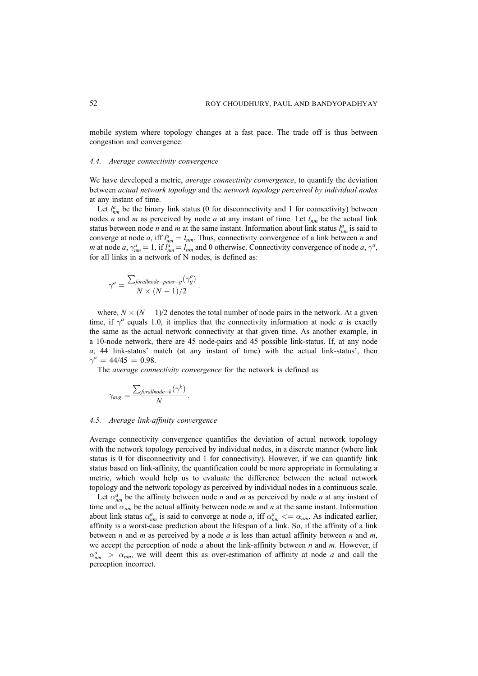mobile system where topology changes at a fast pace. The trade off is thus between congestion and convergence.

# 4.4. Average connectivity convergence

We have developed a metric, *average connectivity convergence*, to quantify the deviation between actual network topology and the network topology perceived by individual nodes at any instant of time.

Let  $l_{nm}^{a}$  be the binary link status (0 for disconnectivity and 1 for connectivity) between nodes n and m as perceived by node a at any instant of time. Let  $l_{nm}$  be the actual link status between node *n* and *m* at the same instant. Information about link status  $l_{nm}^a$  is said to converge at node a, iff  $l_{nm}^a = l_{nm}$ . Thus, connectivity convergence of a link between n and *m* at node *a*,  $\gamma_{nm}^a = 1$ , if  $l_{nm}^a = l_{nm}$  and 0 otherwise. Connectivity convergence of node *a*,  $\gamma^a$ , for all links in a network of N nodes, is defined as:

$$
\gamma^a = \frac{\sum_{forallnode-pairs-ij} (\gamma_{ij}^a)}{N \times (N-1)/2}.
$$

where,  $N \times (N - 1)/2$  denotes the total number of node pairs in the network. At a given time, if  $\gamma^a$  equals 1.0, it implies that the connectivity information at node a is exactly the same as the actual network connectivity at that given time. As another example, in a 10-node network, there are 45 node-pairs and 45 possible link-status. If, at any node a, 44 link-status' match (at any instant of time) with the actual link-status', then  $\gamma^a = 44/45 = 0.98.$ 

The average connectivity convergence for the network is defined as

$$
\gamma_{avg} = \frac{\sum_{forallnode-k} (\gamma^k)}{N}.
$$

#### 4.5. Average link-affinity convergence

Average connectivity convergence quantifies the deviation of actual network topology with the network topology perceived by individual nodes, in a discrete manner (where link status is 0 for disconnectivity and 1 for connectivity). However, if we can quantify link status based on link-affinity, the quantification could be more appropriate in formulating a metric, which would help us to evaluate the difference between the actual network topology and the network topology as perceived by individual nodes in a continuous scale.

Let  $\alpha_{nm}^a$  be the affinity between node *n* and *m* as perceived by node *a* at any instant of time and  $\alpha_{nm}$  be the actual affinity between node m and n at the same instant. Information about link status  $\alpha_{nm}^a$  is said to converge at node a, iff  $\alpha_{nm}^a \leq \alpha_{nm}$ . As indicated earlier, affinity is a worst-case prediction about the lifespan of a link. So, if the affinity of a link between n and m as perceived by a node a is less than actual affinity between n and m, we accept the perception of node a about the link-affinity between  $n$  and  $m$ . However, if  $\alpha_{nm}^a > \alpha_{nm}$ , we will deem this as over-estimation of affinity at node a and call the perception incorrect.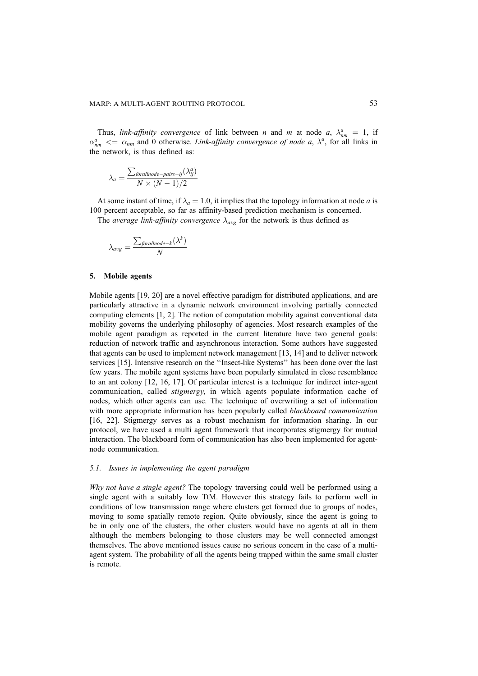Thus, *link-affinity convergence* of link between *n* and *m* at node *a*,  $\lambda_{nm}^a = 1$ , if  $\alpha_{nm}^a \leq \alpha_{nm}$  and 0 otherwise. Link-affinity convergence of node a,  $\lambda^a$ , for all links in the network, is thus defined as:

$$
\lambda_a = \frac{\sum_{\text{forallnode-pairs}-ij} (\lambda_{ij}^a)}{N \times (N-1)/2}
$$

At some instant of time, if  $\lambda_a = 1.0$ , it implies that the topology information at node a is 100 percent acceptable, so far as affinity-based prediction mechanism is concerned.

The *average link-affinity convergence*  $\lambda_{avg}$  for the network is thus defined as

$$
\lambda_{avg} = \frac{\sum_{forallnode-k} (\lambda^k)}{N}
$$

# 5. Mobile agents

Mobile agents [19, 20] are a novel effective paradigm for distributed applications, and are particularly attractive in a dynamic network environment involving partially connected computing elements [1, 2]. The notion of computation mobility against conventional data mobility governs the underlying philosophy of agencies. Most research examples of the mobile agent paradigm as reported in the current literature have two general goals: reduction of network traffic and asynchronous interaction. Some authors have suggested that agents can be used to implement network management [13, 14] and to deliver network services [15]. Intensive research on the ''Insect-like Systems'' has been done over the last few years. The mobile agent systems have been popularly simulated in close resemblance to an ant colony [12, 16, 17]. Of particular interest is a technique for indirect inter-agent communication, called stigmergy, in which agents populate information cache of nodes, which other agents can use. The technique of overwriting a set of information with more appropriate information has been popularly called *blackboard communication* [16, 22]. Stigmergy serves as a robust mechanism for information sharing. In our protocol, we have used a multi agent framework that incorporates stigmergy for mutual interaction. The blackboard form of communication has also been implemented for agentnode communication.

# 5.1. Issues in implementing the agent paradigm

Why not have a single agent? The topology traversing could well be performed using a single agent with a suitably low TtM. However this strategy fails to perform well in conditions of low transmission range where clusters get formed due to groups of nodes, moving to some spatially remote region. Quite obviously, since the agent is going to be in only one of the clusters, the other clusters would have no agents at all in them although the members belonging to those clusters may be well connected amongst themselves. The above mentioned issues cause no serious concern in the case of a multiagent system. The probability of all the agents being trapped within the same small cluster is remote.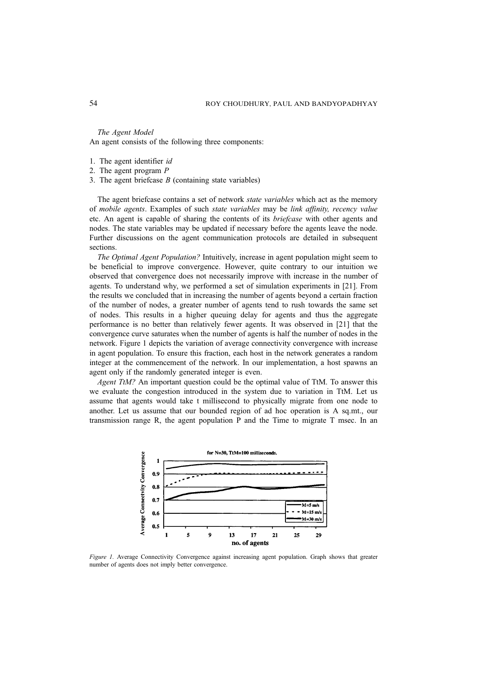The Agent Model An agent consists of the following three components:

- 1. The agent identifier id
- 2. The agent program P
- 3. The agent briefcase  $B$  (containing state variables)

The agent briefcase contains a set of network *state variables* which act as the memory of mobile agents. Examples of such state variables may be link affinity, recency value etc. An agent is capable of sharing the contents of its briefcase with other agents and nodes. The state variables may be updated if necessary before the agents leave the node. Further discussions on the agent communication protocols are detailed in subsequent sections.

The Optimal Agent Population? Intuitively, increase in agent population might seem to be beneficial to improve convergence. However, quite contrary to our intuition we observed that convergence does not necessarily improve with increase in the number of agents. To understand why, we performed a set of simulation experiments in [21]. From the results we concluded that in increasing the number of agents beyond a certain fraction of the number of nodes, a greater number of agents tend to rush towards the same set of nodes. This results in a higher queuing delay for agents and thus the aggregate performance is no better than relatively fewer agents. It was observed in [21] that the convergence curve saturates when the number of agents is half the number of nodes in the network. Figure 1 depicts the variation of average connectivity convergence with increase in agent population. To ensure this fraction, each host in the network generates a random integer at the commencement of the network. In our implementation, a host spawns an agent only if the randomly generated integer is even.

Agent TtM? An important question could be the optimal value of TtM. To answer this we evaluate the congestion introduced in the system due to variation in TtM. Let us assume that agents would take t millisecond to physically migrate from one node to another. Let us assume that our bounded region of ad hoc operation is A sq.mt., our transmission range R, the agent population P and the Time to migrate T msec. In an



Figure 1. Average Connectivity Convergence against increasing agent population. Graph shows that greater number of agents does not imply better convergence.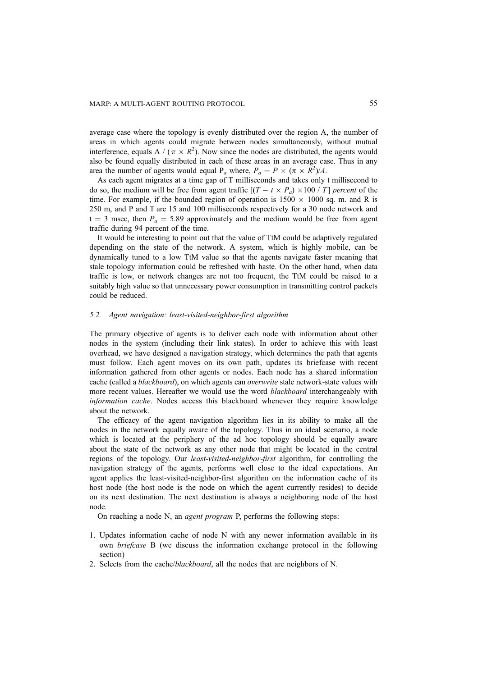average case where the topology is evenly distributed over the region A, the number of areas in which agents could migrate between nodes simultaneously, without mutual interference, equals A / ( $\pi \times R^2$ ). Now since the nodes are distributed, the agents would also be found equally distributed in each of these areas in an average case. Thus in any area the number of agents would equal P<sub>a</sub> where,  $P_a = P \times (\pi \times \overline{R}^2)/A$ .

As each agent migrates at a time gap of T milliseconds and takes only t millisecond to do so, the medium will be free from agent traffic  $[(T - t \times P_a) \times 100 / T]$  percent of the time. For example, if the bounded region of operation is  $1500 \times 1000$  sq. m. and R is 250 m, and P and T are 15 and 100 milliseconds respectively for a 30 node network and  $t = 3$  msec, then  $P_a = 5.89$  approximately and the medium would be free from agent traffic during 94 percent of the time.

It would be interesting to point out that the value of TtM could be adaptively regulated depending on the state of the network. A system, which is highly mobile, can be dynamically tuned to a low TtM value so that the agents navigate faster meaning that stale topology information could be refreshed with haste. On the other hand, when data traffic is low, or network changes are not too frequent, the TtM could be raised to a suitably high value so that unnecessary power consumption in transmitting control packets could be reduced.

#### 5.2. Agent navigation: least-visited-neighbor-first algorithm

The primary objective of agents is to deliver each node with information about other nodes in the system (including their link states). In order to achieve this with least overhead, we have designed a navigation strategy, which determines the path that agents must follow. Each agent moves on its own path, updates its briefcase with recent information gathered from other agents or nodes. Each node has a shared information cache (called a *blackboard*), on which agents can *overwrite* stale network-state values with more recent values. Hereafter we would use the word *blackboard* interchangeably with information cache. Nodes access this blackboard whenever they require knowledge about the network.

The efficacy of the agent navigation algorithm lies in its ability to make all the nodes in the network equally aware of the topology. Thus in an ideal scenario, a node which is located at the periphery of the ad hoc topology should be equally aware about the state of the network as any other node that might be located in the central regions of the topology. Our least-visited-neighbor-first algorithm, for controlling the navigation strategy of the agents, performs well close to the ideal expectations. An agent applies the least-visited-neighbor-first algorithm on the information cache of its host node (the host node is the node on which the agent currently resides) to decide on its next destination. The next destination is always a neighboring node of the host node.

On reaching a node N, an agent program P, performs the following steps:

- 1. Updates information cache of node N with any newer information available in its own briefcase B (we discuss the information exchange protocol in the following section)
- 2. Selects from the cache/*blackboard*, all the nodes that are neighbors of N.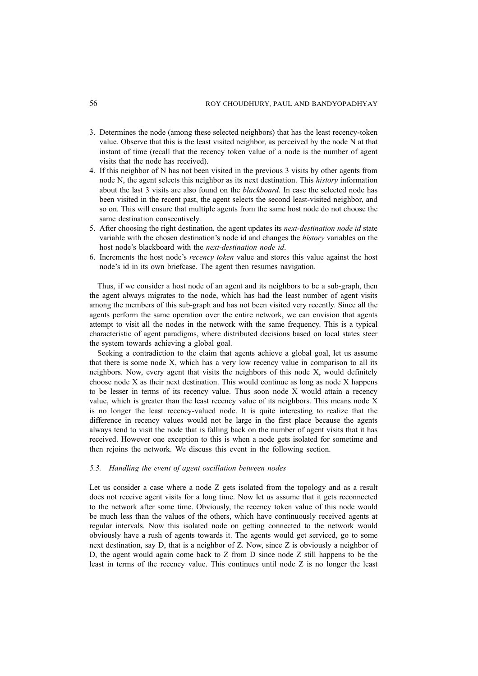- 3. Determines the node (among these selected neighbors) that has the least recency-token value. Observe that this is the least visited neighbor, as perceived by the node N at that instant of time (recall that the recency token value of a node is the number of agent visits that the node has received).
- 4. If this neighbor of N has not been visited in the previous 3 visits by other agents from node N, the agent selects this neighbor as its next destination. This history information about the last 3 visits are also found on the blackboard. In case the selected node has been visited in the recent past, the agent selects the second least-visited neighbor, and so on. This will ensure that multiple agents from the same host node do not choose the same destination consecutively.
- 5. After choosing the right destination, the agent updates its next-destination node id state variable with the chosen destination's node id and changes the history variables on the host node's blackboard with the next-destination node id.
- 6. Increments the host node's recency token value and stores this value against the host node's id in its own briefcase. The agent then resumes navigation.

Thus, if we consider a host node of an agent and its neighbors to be a sub-graph, then the agent always migrates to the node, which has had the least number of agent visits among the members of this sub-graph and has not been visited very recently. Since all the agents perform the same operation over the entire network, we can envision that agents attempt to visit all the nodes in the network with the same frequency. This is a typical characteristic of agent paradigms, where distributed decisions based on local states steer the system towards achieving a global goal.

Seeking a contradiction to the claim that agents achieve a global goal, let us assume that there is some node X, which has a very low recency value in comparison to all its neighbors. Now, every agent that visits the neighbors of this node X, would definitely choose node X as their next destination. This would continue as long as node X happens to be lesser in terms of its recency value. Thus soon node X would attain a recency value, which is greater than the least recency value of its neighbors. This means node X is no longer the least recency-valued node. It is quite interesting to realize that the difference in recency values would not be large in the first place because the agents always tend to visit the node that is falling back on the number of agent visits that it has received. However one exception to this is when a node gets isolated for sometime and then rejoins the network. We discuss this event in the following section.

# 5.3. Handling the event of agent oscillation between nodes

Let us consider a case where a node Z gets isolated from the topology and as a result does not receive agent visits for a long time. Now let us assume that it gets reconnected to the network after some time. Obviously, the recency token value of this node would be much less than the values of the others, which have continuously received agents at regular intervals. Now this isolated node on getting connected to the network would obviously have a rush of agents towards it. The agents would get serviced, go to some next destination, say D, that is a neighbor of Z. Now, since Z is obviously a neighbor of D, the agent would again come back to Z from D since node Z still happens to be the least in terms of the recency value. This continues until node Z is no longer the least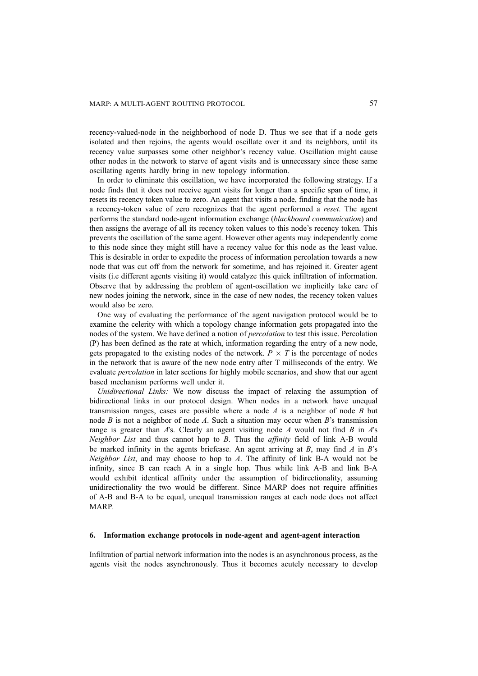recency-valued-node in the neighborhood of node D. Thus we see that if a node gets isolated and then rejoins, the agents would oscillate over it and its neighbors, until its recency value surpasses some other neighbor's recency value. Oscillation might cause other nodes in the network to starve of agent visits and is unnecessary since these same oscillating agents hardly bring in new topology information.

In order to eliminate this oscillation, we have incorporated the following strategy. If a node finds that it does not receive agent visits for longer than a specific span of time, it resets its recency token value to zero. An agent that visits a node, finding that the node has a recency-token value of zero recognizes that the agent performed a reset. The agent performs the standard node-agent information exchange (blackboard communication) and then assigns the average of all its recency token values to this node's recency token. This prevents the oscillation of the same agent. However other agents may independently come to this node since they might still have a recency value for this node as the least value. This is desirable in order to expedite the process of information percolation towards a new node that was cut off from the network for sometime, and has rejoined it. Greater agent visits (i.e different agents visiting it) would catalyze this quick infiltration of information. Observe that by addressing the problem of agent-oscillation we implicitly take care of new nodes joining the network, since in the case of new nodes, the recency token values would also be zero.

One way of evaluating the performance of the agent navigation protocol would be to examine the celerity with which a topology change information gets propagated into the nodes of the system. We have defined a notion of percolation to test this issue. Percolation (P) has been defined as the rate at which, information regarding the entry of a new node, gets propagated to the existing nodes of the network.  $P \times T$  is the percentage of nodes in the network that is aware of the new node entry after T milliseconds of the entry. We evaluate percolation in later sections for highly mobile scenarios, and show that our agent based mechanism performs well under it.

Unidirectional Links: We now discuss the impact of relaxing the assumption of bidirectional links in our protocol design. When nodes in a network have unequal transmission ranges, cases are possible where a node  $A$  is a neighbor of node  $B$  but node B is not a neighbor of node A. Such a situation may occur when B's transmission range is greater than A's. Clearly an agent visiting node A would not find B in A's Neighbor List and thus cannot hop to  $B$ . Thus the *affinity* field of link A-B would be marked infinity in the agents briefcase. An agent arriving at  $B$ , may find  $A$  in  $B$ 's *Neighbor List*, and may choose to hop to  $\Lambda$ . The affinity of link B-A would not be infinity, since B can reach A in a single hop. Thus while link A-B and link B-A would exhibit identical affinity under the assumption of bidirectionality, assuming unidirectionality the two would be different. Since MARP does not require affinities of A-B and B-A to be equal, unequal transmission ranges at each node does not affect MARP.

### 6. Information exchange protocols in node-agent and agent-agent interaction

Infiltration of partial network information into the nodes is an asynchronous process, as the agents visit the nodes asynchronously. Thus it becomes acutely necessary to develop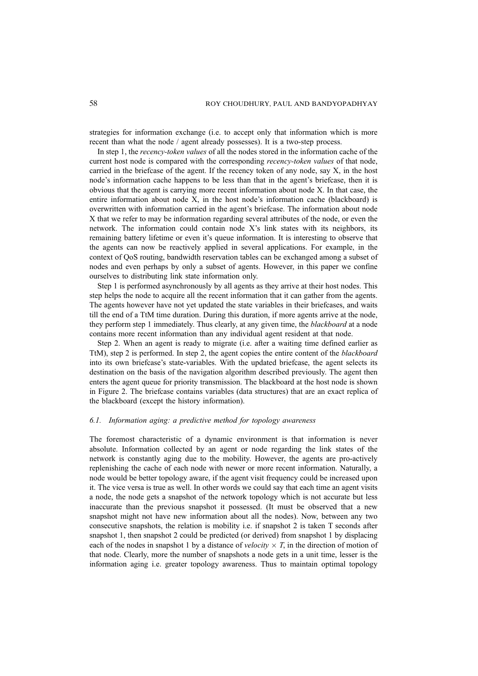strategies for information exchange (i.e. to accept only that information which is more recent than what the node / agent already possesses). It is a two-step process.

In step 1, the recency-token values of all the nodes stored in the information cache of the current host node is compared with the corresponding *recency-token values* of that node, carried in the briefcase of the agent. If the recency token of any node, say X, in the host node's information cache happens to be less than that in the agent's briefcase, then it is obvious that the agent is carrying more recent information about node X. In that case, the entire information about node  $X$ , in the host node's information cache (blackboard) is overwritten with information carried in the agent's briefcase. The information about node X that we refer to may be information regarding several attributes of the node, or even the network. The information could contain node X's link states with its neighbors, its remaining battery lifetime or even it's queue information. It is interesting to observe that the agents can now be reactively applied in several applications. For example, in the context of QoS routing, bandwidth reservation tables can be exchanged among a subset of nodes and even perhaps by only a subset of agents. However, in this paper we confine ourselves to distributing link state information only.

Step 1 is performed asynchronously by all agents as they arrive at their host nodes. This step helps the node to acquire all the recent information that it can gather from the agents. The agents however have not yet updated the state variables in their briefcases, and waits till the end of a TtM time duration. During this duration, if more agents arrive at the node, they perform step 1 immediately. Thus clearly, at any given time, the *blackboard* at a node contains more recent information than any individual agent resident at that node.

Step 2. When an agent is ready to migrate (i.e. after a waiting time defined earlier as TtM), step 2 is performed. In step 2, the agent copies the entire content of the blackboard into its own briefcase's state-variables. With the updated briefcase, the agent selects its destination on the basis of the navigation algorithm described previously. The agent then enters the agent queue for priority transmission. The blackboard at the host node is shown in Figure 2. The briefcase contains variables (data structures) that are an exact replica of the blackboard (except the history information).

#### 6.1. Information aging: a predictive method for topology awareness

The foremost characteristic of a dynamic environment is that information is never absolute. Information collected by an agent or node regarding the link states of the network is constantly aging due to the mobility. However, the agents are pro-actively replenishing the cache of each node with newer or more recent information. Naturally, a node would be better topology aware, if the agent visit frequency could be increased upon it. The vice versa is true as well. In other words we could say that each time an agent visits a node, the node gets a snapshot of the network topology which is not accurate but less inaccurate than the previous snapshot it possessed. (It must be observed that a new snapshot might not have new information about all the nodes). Now, between any two consecutive snapshots, the relation is mobility i.e. if snapshot 2 is taken T seconds after snapshot 1, then snapshot 2 could be predicted (or derived) from snapshot 1 by displacing each of the nodes in snapshot 1 by a distance of *velocity*  $\times$  *T*, in the direction of motion of that node. Clearly, more the number of snapshots a node gets in a unit time, lesser is the information aging i.e. greater topology awareness. Thus to maintain optimal topology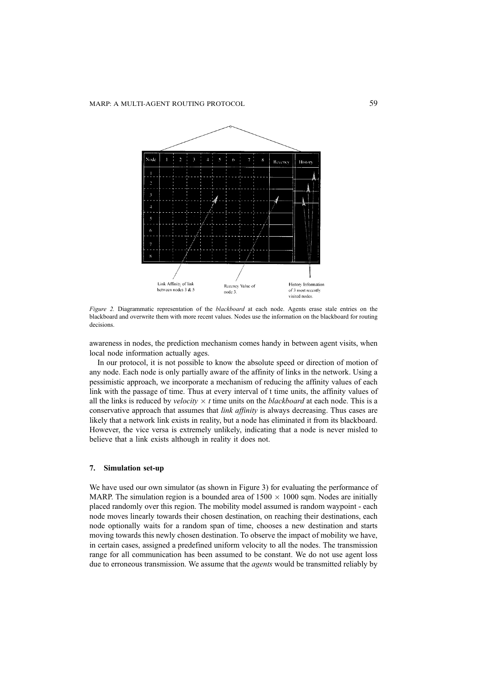

Figure 2. Diagrammatic representation of the blackboard at each node. Agents erase stale entries on the blackboard and overwrite them with more recent values. Nodes use the information on the blackboard for routing decisions.

awareness in nodes, the prediction mechanism comes handy in between agent visits, when local node information actually ages.

In our protocol, it is not possible to know the absolute speed or direction of motion of any node. Each node is only partially aware of the affinity of links in the network. Using a pessimistic approach, we incorporate a mechanism of reducing the affinity values of each link with the passage of time. Thus at every interval of t time units, the affinity values of all the links is reduced by *velocity*  $\times$  *t* time units on the *blackboard* at each node. This is a conservative approach that assumes that link affinity is always decreasing. Thus cases are likely that a network link exists in reality, but a node has eliminated it from its blackboard. However, the vice versa is extremely unlikely, indicating that a node is never misled to believe that a link exists although in reality it does not.

# 7. Simulation set-up

We have used our own simulator (as shown in Figure 3) for evaluating the performance of MARP. The simulation region is a bounded area of  $1500 \times 1000$  sqm. Nodes are initially placed randomly over this region. The mobility model assumed is random waypoint - each node moves linearly towards their chosen destination, on reaching their destinations, each node optionally waits for a random span of time, chooses a new destination and starts moving towards this newly chosen destination. To observe the impact of mobility we have, in certain cases, assigned a predefined uniform velocity to all the nodes. The transmission range for all communication has been assumed to be constant. We do not use agent loss due to erroneous transmission. We assume that the *agents* would be transmitted reliably by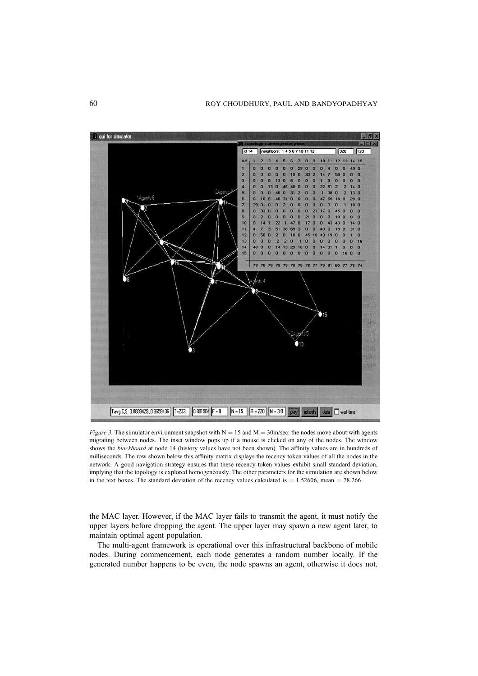

Figure 3. The simulator environment snapshot with  $N = 15$  and  $M = 30$ m/sec: the nodes move about with agents migrating between nodes. The inset window pops up if a mouse is clicked on any of the nodes. The window shows the *blackboard* at node 14 (history values have not been shown). The affinity values are in hundreds of milliseconds. The row shown below this affinity matrix displays the recency token values of all the nodes in the network. A good navigation strategy ensures that these recency token values exhibit small standard deviation, implying that the topology is explored homogeneously. The other parameters for the simulation are shown below in the text boxes. The standard deviation of the recency values calculated is  $= 1.52606$ , mean  $= 78.266$ .

the MAC layer. However, if the MAC layer fails to transmit the agent, it must notify the upper layers before dropping the agent. The upper layer may spawn a new agent later, to maintain optimal agent population.

The multi-agent framework is operational over this infrastructural backbone of mobile nodes. During commencement, each node generates a random number locally. If the generated number happens to be even, the node spawns an agent, otherwise it does not.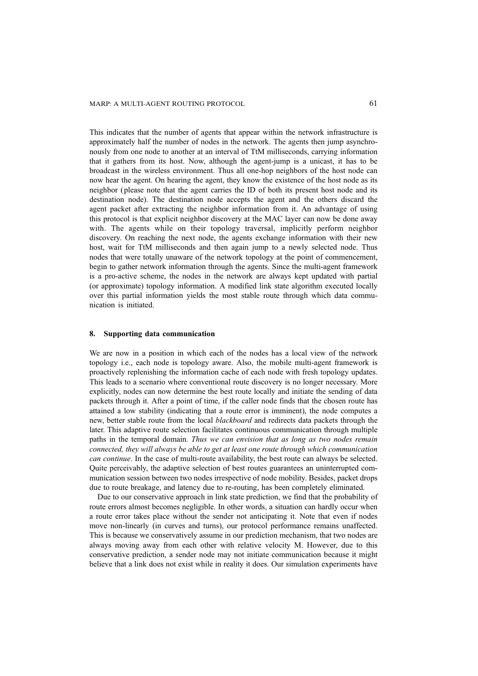This indicates that the number of agents that appear within the network infrastructure is approximately half the number of nodes in the network. The agents then jump asynchronously from one node to another at an interval of TtM milliseconds, carrying information that it gathers from its host. Now, although the agent-jump is a unicast, it has to be broadcast in the wireless environment. Thus all one-hop neighbors of the host node can now hear the agent. On hearing the agent, they know the existence of the host node as its neighbor ( please note that the agent carries the ID of both its present host node and its destination node). The destination node accepts the agent and the others discard the agent packet after extracting the neighbor information from it. An advantage of using this protocol is that explicit neighbor discovery at the MAC layer can now be done away with. The agents while on their topology traversal, implicitly perform neighbor discovery. On reaching the next node, the agents exchange information with their new host, wait for TtM milliseconds and then again jump to a newly selected node. Thus nodes that were totally unaware of the network topology at the point of commencement, begin to gather network information through the agents. Since the multi-agent framework is a pro-active scheme, the nodes in the network are always kept updated with partial (or approximate) topology information. A modified link state algorithm executed locally over this partial information yields the most stable route through which data communication is initiated.

## 8. Supporting data communication

We are now in a position in which each of the nodes has a local view of the network topology i.e., each node is topology aware. Also, the mobile multi-agent framework is proactively replenishing the information cache of each node with fresh topology updates. This leads to a scenario where conventional route discovery is no longer necessary. More explicitly, nodes can now determine the best route locally and initiate the sending of data packets through it. After a point of time, if the caller node finds that the chosen route has attained a low stability (indicating that a route error is imminent), the node computes a new, better stable route from the local blackboard and redirects data packets through the later. This adaptive route selection facilitates continuous communication through multiple paths in the temporal domain. Thus we can envision that as long as two nodes remain connected, they will always be able to get at least one route through which communication can continue. In the case of multi-route availability, the best route can always be selected. Quite perceivably, the adaptive selection of best routes guarantees an uninterrupted communication session between two nodes irrespective of node mobility. Besides, packet drops due to route breakage, and latency due to re-routing, has been completely eliminated.

Due to our conservative approach in link state prediction, we find that the probability of route errors almost becomes negligible. In other words, a situation can hardly occur when a route error takes place without the sender not anticipating it. Note that even if nodes move non-linearly (in curves and turns), our protocol performance remains unaffected. This is because we conservatively assume in our prediction mechanism, that two nodes are always moving away from each other with relative velocity M. However, due to this conservative prediction, a sender node may not initiate communication because it might believe that a link does not exist while in reality it does. Our simulation experiments have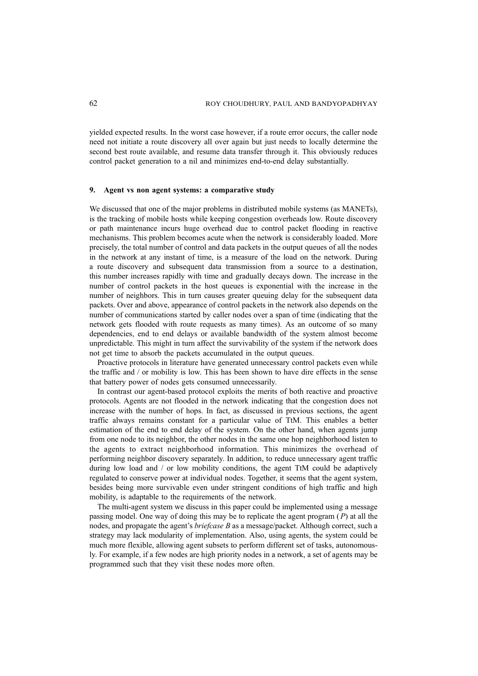yielded expected results. In the worst case however, if a route error occurs, the caller node need not initiate a route discovery all over again but just needs to locally determine the second best route available, and resume data transfer through it. This obviously reduces control packet generation to a nil and minimizes end-to-end delay substantially.

# 9. Agent vs non agent systems: a comparative study

We discussed that one of the major problems in distributed mobile systems (as MANETs), is the tracking of mobile hosts while keeping congestion overheads low. Route discovery or path maintenance incurs huge overhead due to control packet flooding in reactive mechanisms. This problem becomes acute when the network is considerably loaded. More precisely, the total number of control and data packets in the output queues of all the nodes in the network at any instant of time, is a measure of the load on the network. During a route discovery and subsequent data transmission from a source to a destination, this number increases rapidly with time and gradually decays down. The increase in the number of control packets in the host queues is exponential with the increase in the number of neighbors. This in turn causes greater queuing delay for the subsequent data packets. Over and above, appearance of control packets in the network also depends on the number of communications started by caller nodes over a span of time (indicating that the network gets flooded with route requests as many times). As an outcome of so many dependencies, end to end delays or available bandwidth of the system almost become unpredictable. This might in turn affect the survivability of the system if the network does not get time to absorb the packets accumulated in the output queues.

Proactive protocols in literature have generated unnecessary control packets even while the traffic and / or mobility is low. This has been shown to have dire effects in the sense that battery power of nodes gets consumed unnecessarily.

In contrast our agent-based protocol exploits the merits of both reactive and proactive protocols. Agents are not flooded in the network indicating that the congestion does not increase with the number of hops. In fact, as discussed in previous sections, the agent traffic always remains constant for a particular value of TtM. This enables a better estimation of the end to end delay of the system. On the other hand, when agents jump from one node to its neighbor, the other nodes in the same one hop neighborhood listen to the agents to extract neighborhood information. This minimizes the overhead of performing neighbor discovery separately. In addition, to reduce unnecessary agent traffic during low load and / or low mobility conditions, the agent TtM could be adaptively regulated to conserve power at individual nodes. Together, it seems that the agent system, besides being more survivable even under stringent conditions of high traffic and high mobility, is adaptable to the requirements of the network.

The multi-agent system we discuss in this paper could be implemented using a message passing model. One way of doing this may be to replicate the agent program  $(P)$  at all the nodes, and propagate the agent's *briefcase B* as a message/packet. Although correct, such a strategy may lack modularity of implementation. Also, using agents, the system could be much more flexible, allowing agent subsets to perform different set of tasks, autonomously. For example, if a few nodes are high priority nodes in a network, a set of agents may be programmed such that they visit these nodes more often.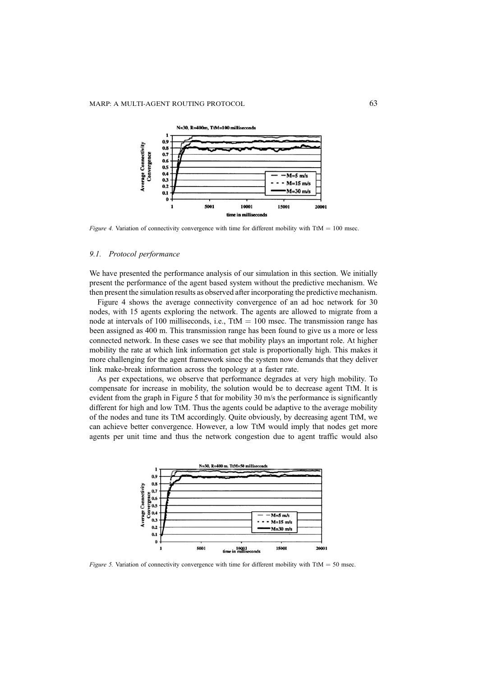

Figure 4. Variation of connectivity convergence with time for different mobility with TtM =  $100$  msec.

## 9.1. Protocol performance

We have presented the performance analysis of our simulation in this section. We initially present the performance of the agent based system without the predictive mechanism. We then present the simulation results as observed after incorporating the predictive mechanism.

Figure 4 shows the average connectivity convergence of an ad hoc network for 30 nodes, with 15 agents exploring the network. The agents are allowed to migrate from a node at intervals of 100 milliseconds, i.e.,  $TtM = 100$  msec. The transmission range has been assigned as 400 m. This transmission range has been found to give us a more or less connected network. In these cases we see that mobility plays an important role. At higher mobility the rate at which link information get stale is proportionally high. This makes it more challenging for the agent framework since the system now demands that they deliver link make-break information across the topology at a faster rate.

As per expectations, we observe that performance degrades at very high mobility. To compensate for increase in mobility, the solution would be to decrease agent TtM. It is evident from the graph in Figure 5 that for mobility 30 m/s the performance is significantly different for high and low TtM. Thus the agents could be adaptive to the average mobility of the nodes and tune its TtM accordingly. Quite obviously, by decreasing agent TtM, we can achieve better convergence. However, a low TtM would imply that nodes get more agents per unit time and thus the network congestion due to agent traffic would also



Figure 5. Variation of connectivity convergence with time for different mobility with TtM = 50 msec.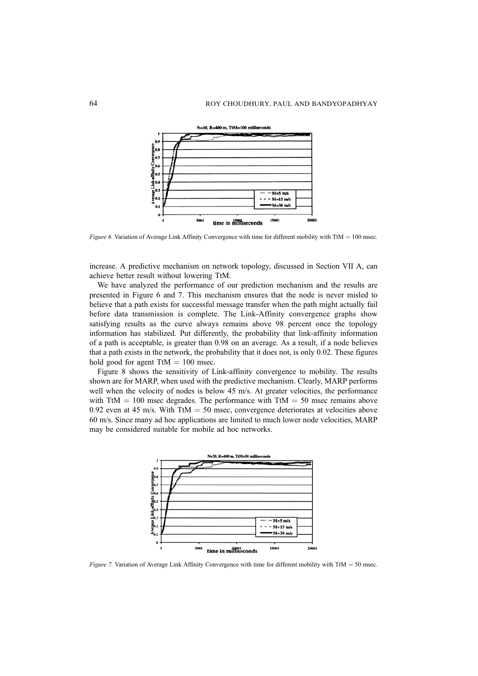

Figure 6. Variation of Average Link Affinity Convergence with time for different mobility with TtM = 100 msec.

increase. A predictive mechanism on network topology, discussed in Section VII A, can achieve better result without lowering TtM.

We have analyzed the performance of our prediction mechanism and the results are presented in Figure 6 and 7. This mechanism ensures that the node is never misled to believe that a path exists for successful message transfer when the path might actually fail before data transmission is complete. The Link-Affinity convergence graphs show satisfying results as the curve always remains above 98 percent once the topology information has stabilized. Put differently, the probability that link-affinity information of a path is acceptable, is greater than 0.98 on an average. As a result, if a node believes that a path exists in the network, the probability that it does not, is only 0.02. These figures hold good for agent  $TtM = 100$  msec.

Figure 8 shows the sensitivity of Link-affinity convergence to mobility. The results shown are for MARP, when used with the predictive mechanism. Clearly, MARP performs well when the velocity of nodes is below 45 m/s. At greater velocities, the performance with TtM  $= 100$  msec degrades. The performance with TtM  $= 50$  msec remains above 0.92 even at 45 m/s. With TtM  $=$  50 msec, convergence deteriorates at velocities above 60 m/s. Since many ad hoc applications are limited to much lower node velocities, MARP may be considered suitable for mobile ad hoc networks.



Figure 7. Variation of Average Link Affinity Convergence with time for different mobility with TtM = 50 msec.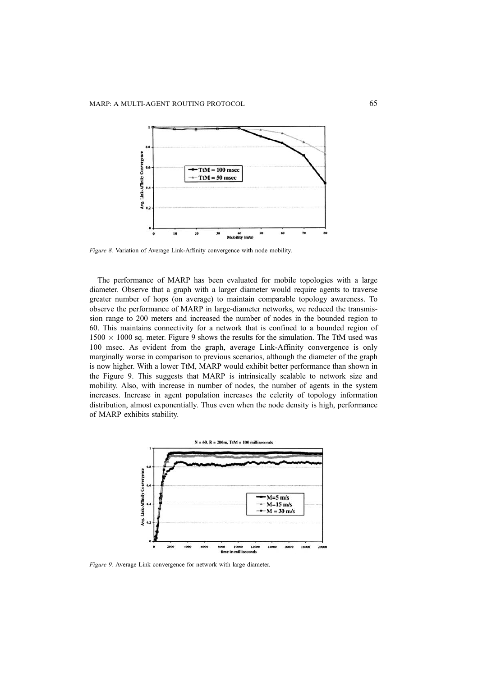

Figure 8. Variation of Average Link-Affinity convergence with node mobility.

The performance of MARP has been evaluated for mobile topologies with a large diameter. Observe that a graph with a larger diameter would require agents to traverse greater number of hops (on average) to maintain comparable topology awareness. To observe the performance of MARP in large-diameter networks, we reduced the transmission range to 200 meters and increased the number of nodes in the bounded region to 60. This maintains connectivity for a network that is confined to a bounded region of  $1500 \times 1000$  sq. meter. Figure 9 shows the results for the simulation. The TtM used was 100 msec. As evident from the graph, average Link-Affinity convergence is only marginally worse in comparison to previous scenarios, although the diameter of the graph is now higher. With a lower TtM, MARP would exhibit better performance than shown in the Figure 9. This suggests that MARP is intrinsically scalable to network size and mobility. Also, with increase in number of nodes, the number of agents in the system increases. Increase in agent population increases the celerity of topology information distribution, almost exponentially. Thus even when the node density is high, performance of MARP exhibits stability.



Figure 9. Average Link convergence for network with large diameter.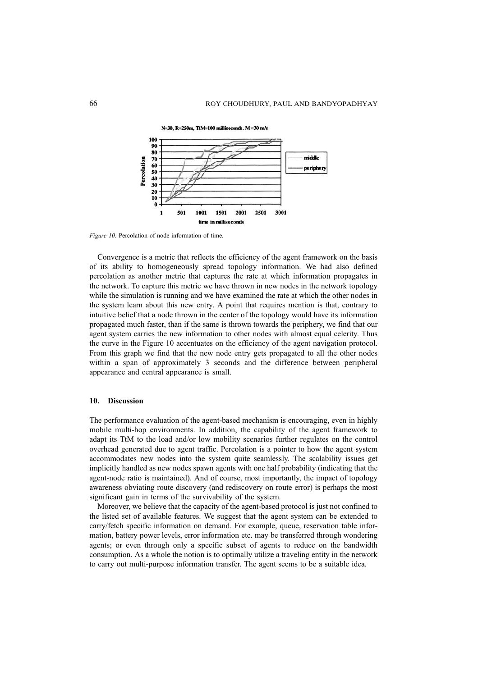

Figure 10. Percolation of node information of time.

Convergence is a metric that reflects the efficiency of the agent framework on the basis of its ability to homogeneously spread topology information. We had also defined percolation as another metric that captures the rate at which information propagates in the network. To capture this metric we have thrown in new nodes in the network topology while the simulation is running and we have examined the rate at which the other nodes in the system learn about this new entry. A point that requires mention is that, contrary to intuitive belief that a node thrown in the center of the topology would have its information propagated much faster, than if the same is thrown towards the periphery, we find that our agent system carries the new information to other nodes with almost equal celerity. Thus the curve in the Figure 10 accentuates on the efficiency of the agent navigation protocol. From this graph we find that the new node entry gets propagated to all the other nodes within a span of approximately 3 seconds and the difference between peripheral appearance and central appearance is small.

# 10. Discussion

The performance evaluation of the agent-based mechanism is encouraging, even in highly mobile multi-hop environments. In addition, the capability of the agent framework to adapt its TtM to the load and/or low mobility scenarios further regulates on the control overhead generated due to agent traffic. Percolation is a pointer to how the agent system accommodates new nodes into the system quite seamlessly. The scalability issues get implicitly handled as new nodes spawn agents with one half probability (indicating that the agent-node ratio is maintained). And of course, most importantly, the impact of topology awareness obviating route discovery (and rediscovery on route error) is perhaps the most significant gain in terms of the survivability of the system.

Moreover, we believe that the capacity of the agent-based protocol is just not confined to the listed set of available features. We suggest that the agent system can be extended to carry/fetch specific information on demand. For example, queue, reservation table information, battery power levels, error information etc. may be transferred through wondering agents; or even through only a specific subset of agents to reduce on the bandwidth consumption. As a whole the notion is to optimally utilize a traveling entity in the network to carry out multi-purpose information transfer. The agent seems to be a suitable idea.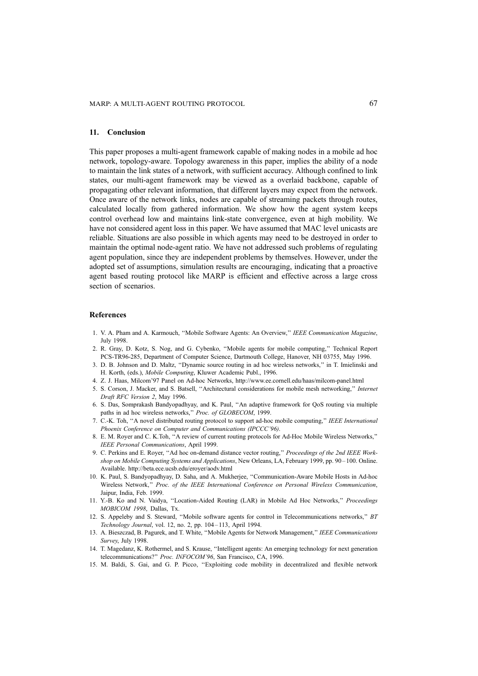#### 11. Conclusion

This paper proposes a multi-agent framework capable of making nodes in a mobile ad hoc network, topology-aware. Topology awareness in this paper, implies the ability of a node to maintain the link states of a network, with sufficient accuracy. Although confined to link states, our multi-agent framework may be viewed as a overlaid backbone, capable of propagating other relevant information, that different layers may expect from the network. Once aware of the network links, nodes are capable of streaming packets through routes, calculated locally from gathered information. We show how the agent system keeps control overhead low and maintains link-state convergence, even at high mobility. We have not considered agent loss in this paper. We have assumed that MAC level unicasts are reliable. Situations are also possible in which agents may need to be destroyed in order to maintain the optimal node-agent ratio. We have not addressed such problems of regulating agent population, since they are independent problems by themselves. However, under the adopted set of assumptions, simulation results are encouraging, indicating that a proactive agent based routing protocol like MARP is efficient and effective across a large cross section of scenarios.

#### References

- 1. V. A. Pham and A. Karmouch, ''Mobile Software Agents: An Overview,'' IEEE Communication Magazine, July 1998.
- 2. R. Gray, D. Kotz, S. Nog, and G. Cybenko, ''Mobile agents for mobile computing,'' Technical Report PCS-TR96-285, Department of Computer Science, Dartmouth College, Hanover, NH 03755, May 1996.
- 3. D. B. Johnson and D. Maltz, ''Dynamic source routing in ad hoc wireless networks,'' in T. Imielinski and H. Korth, (eds.), Mobile Computing, Kluwer Academic Publ., 1996.
- 4. Z. J. Haas, Milcom'97 Panel on Ad-hoc Networks, http://www.ee.cornell.edu/haas/milcom-panel.html
- 5. S. Corson, J. Macker, and S. Batsell, ''Architectural considerations for mobile mesh networking,'' Internet Draft RFC Version 2, May 1996.
- 6. S. Das, Somprakash Bandyopadhyay, and K. Paul, ''An adaptive framework for QoS routing via multiple paths in ad hoc wireless networks,'' Proc. of GLOBECOM, 1999.
- 7. C.-K. Toh, ''A novel distributed routing protocol to support ad-hoc mobile computing,'' IEEE International Phoenix Conference on Computer and Communications (IPCCC'96).
- 8. E. M. Royer and C. K.Toh, ''A review of current routing protocols for Ad-Hoc Mobile Wireless Networks,'' IEEE Personal Communications, April 1999.
- 9. C. Perkins and E. Royer, ''Ad hoc on-demand distance vector routing,'' Proceedings of the 2nd IEEE Workshop on Mobile Computing Systems and Applications, New Orleans, LA, February 1999, pp. 90-100. Online. Available. http://beta.ece.ucsb.edu/eroyer/aodv.html
- 10. K. Paul, S. Bandyopadhyay, D. Saha, and A. Mukherjee, ''Communication-Aware Mobile Hosts in Ad-hoc Wireless Network,'' Proc. of the IEEE International Conference on Personal Wireless Communication, Jaipur, India, Feb. 1999.
- 11. Y.-B. Ko and N. Vaidya, ''Location-Aided Routing (LAR) in Mobile Ad Hoc Networks,'' Proceedings MOBICOM 1998, Dallas, Tx.
- 12. S. Appeleby and S. Steward, ''Mobile software agents for control in Telecommunications networks,'' BT Technology Journal, vol. 12, no. 2, pp. 104-113, April 1994.
- 13. A. Bieszczad, B. Pagurek, and T. White, ''Mobile Agents for Network Management,'' IEEE Communications Survey, July 1998.
- 14. T. Magedanz, K. Rothermel, and S. Krause, ''Intelligent agents: An emerging technology for next generation telecommunications?'' Proc. INFOCOM'96, San Francisco, CA, 1996.
- 15. M. Baldi, S. Gai, and G. P. Picco, ''Exploiting code mobility in decentralized and flexible network